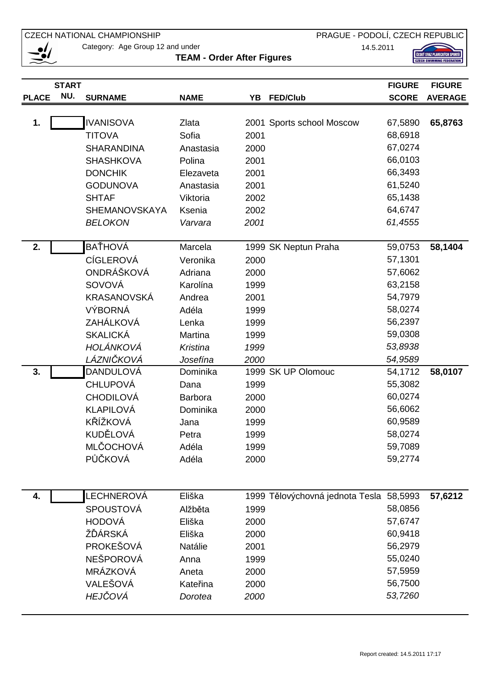CZECH NATIONAL CHAMPIONSHIP

PRAGUE - PODOLÍ, CZECH REPUBLIC

14.5.2011

 $\bullet$ 

Category: Age Group 12 and under

**TEAM - Order After Figures** 

ČESKÝ SVAZ PLAVECKÝCH SPORTŮ<br>CZECH SWIMMING FEDERATION

|              | <b>START</b> |                      |             |      |                                         | <b>FIGURE</b> | <b>FIGURE</b>  |
|--------------|--------------|----------------------|-------------|------|-----------------------------------------|---------------|----------------|
| <b>PLACE</b> | NU.          | <b>SURNAME</b>       | <b>NAME</b> |      | YB FED/Club                             | <b>SCORE</b>  | <b>AVERAGE</b> |
|              |              |                      |             |      |                                         |               |                |
| 1.           |              | <b>IVANISOVA</b>     | Zlata       |      | 2001 Sports school Moscow               | 67,5890       | 65,8763        |
|              |              | <b>TITOVA</b>        | Sofia       | 2001 |                                         | 68,6918       |                |
|              |              | <b>SHARANDINA</b>    | Anastasia   | 2000 |                                         | 67,0274       |                |
|              |              | <b>SHASHKOVA</b>     | Polina      | 2001 |                                         | 66,0103       |                |
|              |              | <b>DONCHIK</b>       | Elezaveta   | 2001 |                                         | 66,3493       |                |
|              |              | <b>GODUNOVA</b>      | Anastasia   | 2001 |                                         | 61,5240       |                |
|              |              | <b>SHTAF</b>         | Viktoria    | 2002 |                                         | 65,1438       |                |
|              |              | <b>SHEMANOVSKAYA</b> | Ksenia      | 2002 |                                         | 64,6747       |                |
|              |              | <b>BELOKON</b>       | Varvara     | 2001 |                                         | 61,4555       |                |
| 2.           |              | BAŤHOVÁ              | Marcela     |      | 1999 SK Neptun Praha                    | 59,0753       | 58,1404        |
|              |              | <b>CÍGLEROVÁ</b>     | Veronika    | 2000 |                                         | 57,1301       |                |
|              |              | ONDRÁŠKOVÁ           | Adriana     | 2000 |                                         | 57,6062       |                |
|              |              | SOVOVÁ               | Karolína    | 1999 |                                         | 63,2158       |                |
|              |              | KRASANOVSKÁ          | Andrea      | 2001 |                                         | 54,7979       |                |
|              |              | <b>VÝBORNÁ</b>       | Adéla       | 1999 |                                         | 58,0274       |                |
|              |              | ZAHÁLKOVÁ            | Lenka       | 1999 |                                         | 56,2397       |                |
|              |              | <b>SKALICKÁ</b>      | Martina     | 1999 |                                         | 59,0308       |                |
|              |              | HOLÁNKOVÁ            | Kristina    | 1999 |                                         | 53,8938       |                |
|              |              | LÁZNIČKOVÁ           | Josefína    | 2000 |                                         | 54,9589       |                |
| 3.           |              | <b>DANDULOVÁ</b>     | Dominika    |      | 1999 SK UP Olomouc                      | 54,1712       | 58,0107        |
|              |              | <b>CHLUPOVÁ</b>      | Dana        | 1999 |                                         | 55,3082       |                |
|              |              | <b>CHODILOVÁ</b>     | Barbora     | 2000 |                                         | 60,0274       |                |
|              |              | KLAPILOVÁ            | Dominika    | 2000 |                                         | 56,6062       |                |
|              |              | KŘÍŽKOVÁ             | Jana        | 1999 |                                         | 60,9589       |                |
|              |              | KUDĚLOVÁ             | Petra       | 1999 |                                         | 58,0274       |                |
|              |              | MLČOCHOVÁ            | Adéla       | 1999 |                                         | 59,7089       |                |
|              |              | PŮČKOVÁ              | Adéla       | 2000 |                                         | 59,2774       |                |
|              |              |                      |             |      |                                         |               |                |
| 4.           |              | LECHNEROVÁ           | Eliška      |      | 1999 Tělovýchovná jednota Tesla 58,5993 |               | 57,6212        |
|              |              | <b>SPOUSTOVÁ</b>     | Alžběta     | 1999 |                                         | 58,0856       |                |
|              |              | HODOVÁ               | Eliška      | 2000 |                                         | 57,6747       |                |
|              |              | ŽĎÁRSKÁ              | Eliška      | 2000 |                                         | 60,9418       |                |
|              |              | PROKEŠOVÁ            | Natálie     | 2001 |                                         | 56,2979       |                |
|              |              | NEŠPOROVÁ            | Anna        | 1999 |                                         | 55,0240       |                |
|              |              | MRÁZKOVÁ             | Aneta       | 2000 |                                         | 57,5959       |                |
|              |              | VALEŠOVÁ             | Kateřina    | 2000 |                                         | 56,7500       |                |
|              |              | HEJČOVÁ              | Dorotea     | 2000 |                                         | 53,7260       |                |
|              |              |                      |             |      |                                         |               |                |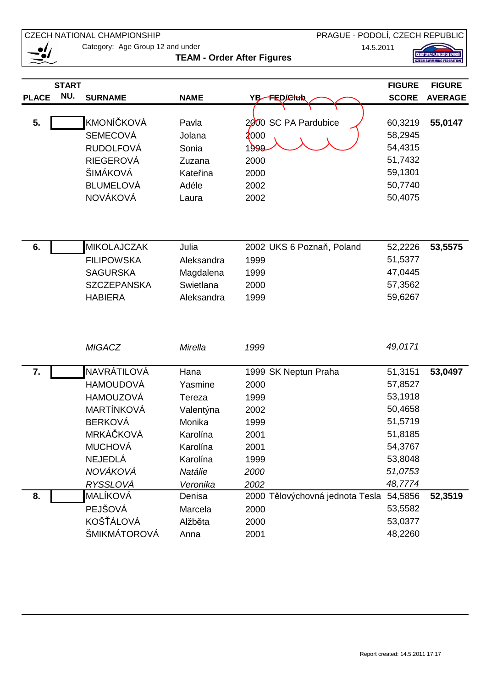CZECH NATIONAL CHAMPIONSHIP

 $\bullet$ 

Category: Age Group 12 and under

**TEAM - Order After Figures** 

ČESKÝ SVAZ PLAVECKÝCH SPORTŮ<br>CZECH SWIMMING FEDERATION

|              | <b>START</b> |                    |             |                                 | <b>FIGURE</b> | <b>FIGURE</b>  |
|--------------|--------------|--------------------|-------------|---------------------------------|---------------|----------------|
| <b>PLACE</b> | NU.          | <b>SURNAME</b>     | <b>NAME</b> | YB-FED/Ctab                     | <b>SCORE</b>  | <b>AVERAGE</b> |
|              |              |                    |             |                                 |               |                |
| 5.           |              | <b>KMONÍČKOVÁ</b>  | Pavla       | 2000 SC PA Pardubice            | 60,3219       | 55,0147        |
|              |              | <b>SEMECOVÁ</b>    | Jolana      | 2000                            | 58,2945       |                |
|              |              | <b>RUDOLFOVÁ</b>   | Sonia       | 1999                            | 54,4315       |                |
|              |              | <b>RIEGEROVÁ</b>   | Zuzana      | 2000                            | 51,7432       |                |
|              |              | ŠIMÁKOVÁ           | Kateřina    | 2000                            | 59,1301       |                |
|              |              | <b>BLUMELOVÁ</b>   | Adéle       | 2002                            | 50,7740       |                |
|              |              | <b>NOVÁKOVÁ</b>    | Laura       | 2002                            | 50,4075       |                |
|              |              |                    |             |                                 |               |                |
|              |              |                    |             |                                 |               |                |
|              |              |                    |             |                                 |               |                |
| 6.           |              | <b>MIKOLAJCZAK</b> | Julia       | 2002 UKS 6 Poznaň, Poland       | 52,2226       | 53,5575        |
|              |              | <b>FILIPOWSKA</b>  | Aleksandra  | 1999                            | 51,5377       |                |
|              |              | <b>SAGURSKA</b>    | Magdalena   | 1999                            | 47,0445       |                |
|              |              | <b>SZCZEPANSKA</b> | Swietlana   | 2000                            | 57,3562       |                |
|              |              | <b>HABIERA</b>     | Aleksandra  | 1999                            | 59,6267       |                |
|              |              |                    |             |                                 |               |                |
|              |              |                    |             |                                 |               |                |
|              |              |                    |             |                                 |               |                |
|              |              | <b>MIGACZ</b>      | Mirella     | 1999                            | 49,0171       |                |
|              |              |                    |             |                                 |               |                |
| 7.           |              | NAVRÁTILOVÁ        | Hana        | 1999 SK Neptun Praha            | 51,3151       | 53,0497        |
|              |              | <b>HAMOUDOVÁ</b>   | Yasmine     | 2000                            | 57,8527       |                |
|              |              | <b>HAMOUZOVÁ</b>   | Tereza      | 1999                            | 53,1918       |                |
|              |              | MARTÍNKOVÁ         | Valentýna   | 2002                            | 50,4658       |                |
|              |              | <b>BERKOVÁ</b>     | Monika      | 1999                            | 51,5719       |                |
|              |              | MRKÁČKOVÁ          | Karolína    | 2001                            | 51,8185       |                |
|              |              | <b>MUCHOVÁ</b>     | Karolína    | 2001                            | 54,3767       |                |
|              |              | <b>NEJEDLÁ</b>     | Karolína    | 1999                            | 53,8048       |                |
|              |              | NOVÁKOVÁ           | Natálie     | 2000                            | 51,0753       |                |
|              |              | RYSSLOVÁ           | Veronika    | 2002                            | 48,7774       |                |
| 8.           |              | MALÍKOVÁ           | Denisa      | 2000 Tělovýchovná jednota Tesla | 54,5856       | 52,3519        |
|              |              | PEJŠOVÁ            | Marcela     | 2000                            | 53,5582       |                |
|              |              | KOŠŤÁLOVÁ          | Alžběta     | 2000                            | 53,0377       |                |
|              |              | ŠMIKMÁTOROVÁ       | Anna        | 2001                            | 48,2260       |                |